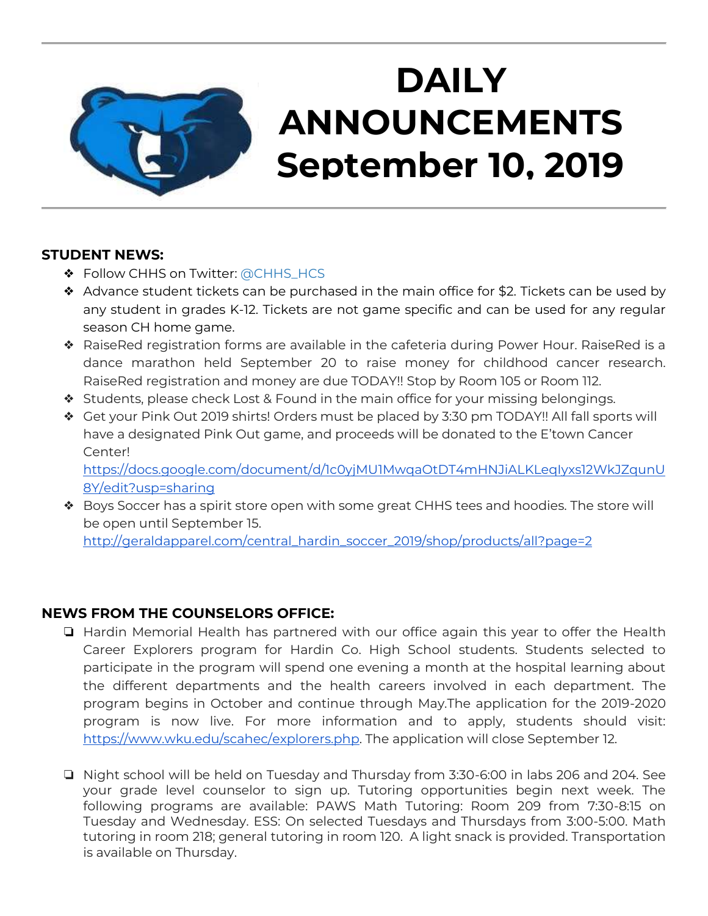

# **DAILY ANNOUNCEMENTS September 10, 2019**

## **STUDENT NEWS:**

- ❖ Follow CHHS on Twitter: [@CHHS\\_HCS](https://twitter.com/CHHS_HCS)
- ❖ Advance student tickets can be purchased in the main office for \$2. Tickets can be used by any student in grades K-12. Tickets are not game specific and can be used for any regular season CH home game.
- ❖ RaiseRed registration forms are available in the cafeteria during Power Hour. RaiseRed is a dance marathon held September 20 to raise money for childhood cancer research. RaiseRed registration and money are due TODAY!! Stop by Room 105 or Room 112.
- ❖ Students, please check Lost & Found in the main office for your missing belongings.
- ❖ Get your Pink Out 2019 shirts! Orders must be placed by 3:30 pm TODAY!! All fall sports will have a designated Pink Out game, and proceeds will be donated to the E'town Cancer Center!

[https://docs.google.com/document/d/1c0yjMU1MwqaOtDT4mHNJiALKLeqIyxs12WkJZqunU](https://docs.google.com/document/d/1c0yjMU1MwqaOtDT4mHNJiALKLeqIyxs12WkJZqunU8Y/edit?usp=sharing) [8Y/edit?usp=sharing](https://docs.google.com/document/d/1c0yjMU1MwqaOtDT4mHNJiALKLeqIyxs12WkJZqunU8Y/edit?usp=sharing)

❖ Boys Soccer has a spirit store open with some great CHHS tees and hoodies. The store will be open until September 15.

[http://geraldapparel.com/central\\_hardin\\_soccer\\_2019/shop/products/all?page=2](http://geraldapparel.com/central_hardin_soccer_2019/shop/products/all?page=2)

# **NEWS FROM THE COUNSELORS OFFICE:**

- ❏ Hardin Memorial Health has partnered with our office again this year to offer the Health Career Explorers program for Hardin Co. High School students. Students selected to participate in the program will spend one evening a month at the hospital learning about the different departments and the health careers involved in each department. The program begins in October and continue through May.The application for the 2019-2020 program is now live. For more information and to apply, students should visit: [https://www.wku.edu/scahec/explorers.php.](https://www.wku.edu/scahec/explorers.php) The application will close September 12.
- ❏ Night school will be held on Tuesday and Thursday from 3:30-6:00 in labs 206 and 204. See your grade level counselor to sign up. Tutoring opportunities begin next week. The following programs are available: PAWS Math Tutoring: Room 209 from 7:30-8:15 on Tuesday and Wednesday. ESS: On selected Tuesdays and Thursdays from 3:00-5:00. Math tutoring in room 218; general tutoring in room 120. A light snack is provided. Transportation is available on Thursday.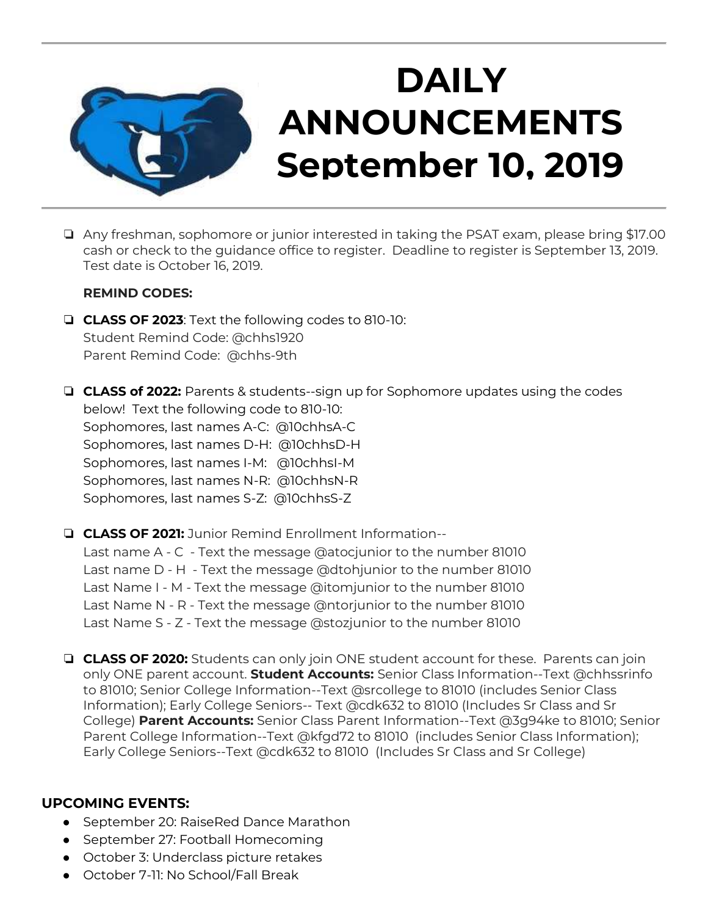

### ❏ Any freshman, sophomore or junior interested in taking the PSAT exam, please bring \$17.00 cash or check to the guidance office to register. Deadline to register is September 13, 2019. Test date is October 16, 2019.

#### **REMIND CODES:**

- ❏ **CLASS OF 2023**: Text the following codes to 810-10: Student Remind Code: @chhs1920 Parent Remind Code: @chhs-9th
- ❏ **CLASS of 2022:** Parents & students--sign up for Sophomore updates using the codes below! Text the following code to 810-10: Sophomores, last names A-C: @10chhsA-C Sophomores, last names D-H: @10chhsD-H Sophomores, last names I-M: @10chhsI-M Sophomores, last names N-R: @10chhsN-R Sophomores, last names S-Z: @10chhsS-Z

❏ **CLASS OF 2021:** Junior Remind Enrollment Information-- Last name A - C - Text the message @atocjunior to the number 81010 Last name D - H - Text the message @dtohjunior to the number 81010 Last Name I - M - Text the message @itomjunior to the number 81010 Last Name N - R - Text the message @ntorjunior to the number 81010 Last Name S - Z - Text the message @stozjunior to the number 81010

❏ **CLASS OF 2020:** Students can only join ONE student account for these. Parents can join only ONE parent account. **Student Accounts:** Senior Class Information--Text @chhssrinfo to 81010; Senior College Information--Text @srcollege to 81010 (includes Senior Class Information); Early College Seniors-- Text @cdk632 to 81010 (Includes Sr Class and Sr College) **Parent Accounts:** Senior Class Parent Information--Text @3g94ke to 81010; Senior Parent College Information--Text @kfgd72 to 81010 (includes Senior Class Information); Early College Seniors--Text @cdk632 to 81010 (Includes Sr Class and Sr College)

## **UPCOMING EVENTS:**

- September 20: RaiseRed Dance Marathon
- September 27: Football Homecoming
- October 3: Underclass picture retakes
- October 7-11: No School/Fall Break